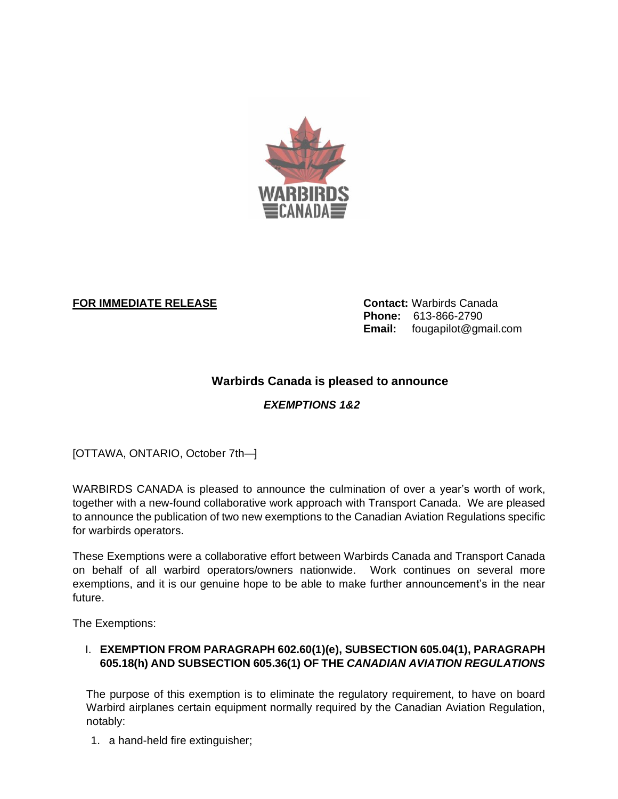

## **FOR IMMEDIATE RELEASE Contact:** Warbirds Canada

**Phone:** 613-866-2790 **Email:** fougapilot@gmail.com

# **Warbirds Canada is pleased to announce**

# *EXEMPTIONS 1&2*

[OTTAWA, ONTARIO, October 7th—]

WARBIRDS CANADA is pleased to announce the culmination of over a year's worth of work, together with a new-found collaborative work approach with Transport Canada. We are pleased to announce the publication of two new exemptions to the Canadian Aviation Regulations specific for warbirds operators.

These Exemptions were a collaborative effort between Warbirds Canada and Transport Canada on behalf of all warbird operators/owners nationwide. Work continues on several more exemptions, and it is our genuine hope to be able to make further announcement's in the near future.

The Exemptions:

### I. **EXEMPTION FROM PARAGRAPH 602.60(1)(e), SUBSECTION 605.04(1), PARAGRAPH 605.18(h) AND SUBSECTION 605.36(1) OF THE** *CANADIAN AVIATION REGULATIONS*

The purpose of this exemption is to eliminate the regulatory requirement, to have on board Warbird airplanes certain equipment normally required by the Canadian Aviation Regulation, notably:

1. a hand-held fire extinguisher;